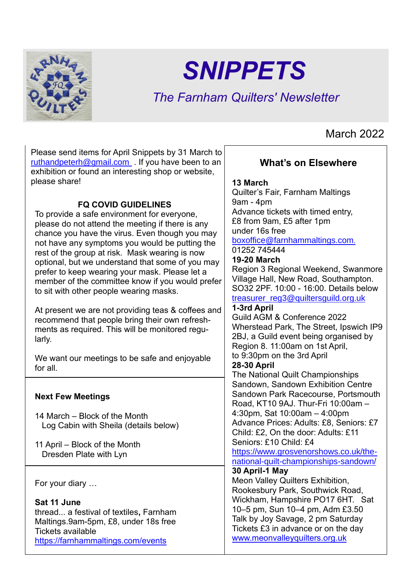

# *SNIPPETS*

# *The Farnham Quilters' Newsletter*

# March 2022

Please send items for April Snippets by 31 March to [ruthandpeterh@gmail.com](mailto:ruthandpeterh@gmail.com) . If you have been to an exhibition or found an interesting shop or website, please share!

# **FQ COVID GUIDELINES**

To provide a safe environment for everyone, please do not attend the meeting if there is any chance you have the virus. Even though you may not have any symptoms you would be putting the rest of the group at risk. Mask wearing is now optional, but we understand that some of you may prefer to keep wearing your mask. Please let a member of the committee know if you would prefer to sit with other people wearing masks.

At present we are not providing teas & coffees and recommend that people bring their own refreshments as required. This will be monitored regularly.

We want our meetings to be safe and enjoyable for all.

# **Next Few Meetings**

14 March – Block of the Month Log Cabin with Sheila (details below)

11 April – Block of the Month Dresden Plate with Lyn

For your diary …

**Sat 11 June** thread... a festival of textiles**,** Farnham Maltings.9am-5pm, £8, under 18s free Tickets available <https://farnhammaltings.com/events>

# **What's on Elsewhere**

### **13 March**

Quilter's Fair, Farnham Maltings 9am - 4pm Advance tickets with timed entry, £8 from 9am, £5 after 1pm under 16s free [boxoffice@farnhammaltings.com](mailto:%5Bmail%20to%5D:boxoffice@farnhammaltings.com). [01252 745444](tel:01252745444) **19-20 March** Region 3 Regional Weekend, Swanmore Village Hall, New Road, Southampton. SO32 2PF. 10:00 - 16:00. Details below [treasurer\\_reg3@quiltersguild.org.uk](mailto:treasurer_reg3@quiltersguild.org.uk) **1-3rd April**  Guild AGM & Conference 2022 Wherstead Park, The Street, Ipswich IP9 2BJ, a Guild event being organised by Region 8. 11:00am on 1st April, to 9:30pm on the 3rd April **28-30 April** The National Quilt Championships Sandown, Sandown Exhibition Centre Sandown Park Racecourse, Portsmouth Road, KT10 9AJ. Thur-Fri 10:00am – 4:30pm, Sat 10:00am – 4:00pm Advance Prices: Adults: £8, Seniors: £7 Child: £2, On the door: Adults: £11 Seniors: £10 Child: £4 [https://www.grosvenorshows.co.uk/the](https://www.grosvenorshows.co.uk/the-national-quilt-championships-sandown/)[national-quilt-championships-sandown/](https://www.grosvenorshows.co.uk/the-national-quilt-championships-sandown/) **30 April-1 May** Meon Valley Quilters Exhibition, Rookesbury Park, Southwick Road, Wickham, Hampshire PO17 6HT. Sat 10–5 pm, Sun 10–4 pm, Adm £3.50 Talk by Joy Savage, 2 pm Saturday Tickets £3 in advance or on the day [www.meonvalleyquilters.org.uk](http://www.meonvalleyquilters.org.uk/)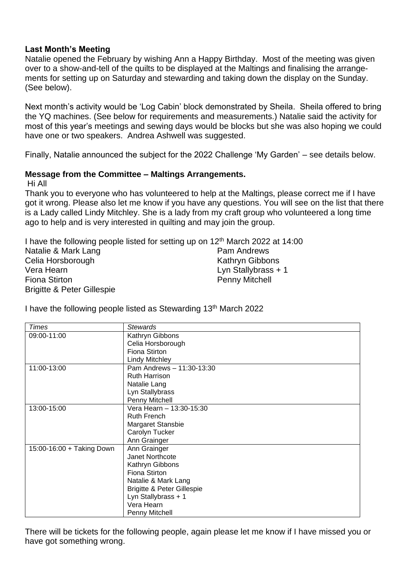### **Last Month's Meeting**

Natalie opened the February by wishing Ann a Happy Birthday. Most of the meeting was given over to a show-and-tell of the quilts to be displayed at the Maltings and finalising the arrangements for setting up on Saturday and stewarding and taking down the display on the Sunday. (See below).

Next month's activity would be 'Log Cabin' block demonstrated by Sheila. Sheila offered to bring the YQ machines. (See below for requirements and measurements.) Natalie said the activity for most of this year's meetings and sewing days would be blocks but she was also hoping we could have one or two speakers. Andrea Ashwell was suggested.

Finally, Natalie announced the subject for the 2022 Challenge 'My Garden' – see details below.

#### **Message from the Committee – Maltings Arrangements.**

Hi All

Thank you to everyone who has volunteered to help at the Maltings, please correct me if I have got it wrong. Please also let me know if you have any questions. You will see on the list that there is a Lady called Lindy Mitchley. She is a lady from my craft group who volunteered a long time ago to help and is very interested in quilting and may join the group.

I have the following people listed for setting up on 12<sup>th</sup> March 2022 at 14:00 Natalie & Mark Lang Celia Horsborough Vera Hearn Fiona Stirton Brigitte & Peter Gillespie Pam Andrews Kathryn Gibbons Lyn Stallybrass + 1 Penny Mitchell

I have the following people listed as Stewarding 13<sup>th</sup> March 2022

| Times                     | <b>Stewards</b>                       |  |  |
|---------------------------|---------------------------------------|--|--|
| 09:00-11:00               | Kathryn Gibbons                       |  |  |
|                           | Celia Horsborough                     |  |  |
|                           | Fiona Stirton                         |  |  |
|                           | <b>Lindy Mitchley</b>                 |  |  |
| 11:00-13:00               | Pam Andrews - 11:30-13:30             |  |  |
|                           | <b>Ruth Harrison</b>                  |  |  |
|                           | Natalie Lang                          |  |  |
|                           | Lyn Stallybrass                       |  |  |
|                           | Penny Mitchell                        |  |  |
| 13:00-15:00               | Vera Hearn - 13:30-15:30              |  |  |
|                           | <b>Ruth French</b>                    |  |  |
|                           | Margaret Stansbie                     |  |  |
|                           | Carolyn Tucker                        |  |  |
|                           | Ann Grainger                          |  |  |
| 15:00-16:00 + Taking Down | Ann Grainger                          |  |  |
|                           | Janet Northcote                       |  |  |
|                           | Kathryn Gibbons                       |  |  |
|                           | Fiona Stirton                         |  |  |
|                           | Natalie & Mark Lang                   |  |  |
|                           | <b>Brigitte &amp; Peter Gillespie</b> |  |  |
|                           | Lyn Stallybrass + 1                   |  |  |
|                           | Vera Hearn                            |  |  |
|                           | Penny Mitchell                        |  |  |

There will be tickets for the following people, again please let me know if I have missed you or have got something wrong.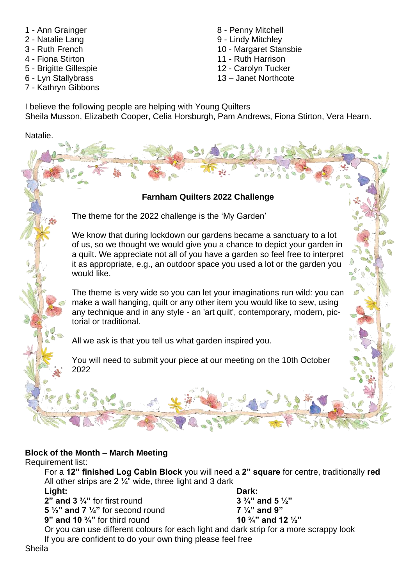- 1 Ann Grainger
- 2 Natalie Lang
- 3 Ruth French
- 4 Fiona Stirton
- 5 Brigitte Gillespie
- 6 Lyn Stallybrass
- 7 Kathryn Gibbons
- 8 Penny Mitchell
- 9 Lindy Mitchley
- 10 Margaret Stansbie
- 11 Ruth Harrison
- 12 Carolyn Tucker
- 13 Janet Northcote

I believe the following people are helping with Young Quilters Sheila Musson, Elizabeth Cooper, Celia Horsburgh, Pam Andrews, Fiona Stirton, Vera Hearn.

Natalie.

# **Farnham Quilters 2022 Challenge**

The theme for the 2022 challenge is the 'My Garden'

We know that during lockdown our gardens became a sanctuary to a lot of us, so we thought we would give you a chance to depict your garden in a quilt. We appreciate not all of you have a garden so feel free to interpret it as appropriate, e.g., an outdoor space you used a lot or the garden you would like.

The theme is very wide so you can let your imaginations run wild: you can make a wall hanging, quilt or any other item you would like to sew, using any technique and in any style - an 'art quilt', contemporary, modern, pictorial or traditional.

All we ask is that you tell us what garden inspired you.

You will need to submit your piece at our meeting on the 10th October 2022

# **Block of the Month – March Meeting**

Good Luck everyone!

Requirement list:

For a **12" finished Log Cabin Block** you will need a **2" square** for centre, traditionally **red** All other strips are  $2\frac{1}{4}$ " wide, three light and 3 dark

**Light:**

**2" and 3 ¾"** for first round

**5 ½" and 7 ¼"** for second round

**9" and 10 ¾"** for third round

**Dark: 3 ¾" and 5 ½" 7 ¼" and 9" 10 ¾" and 12 ½"**

Or you can use different colours for each light and dark strip for a more scrappy look If you are confident to do your own thing please feel free

Sheila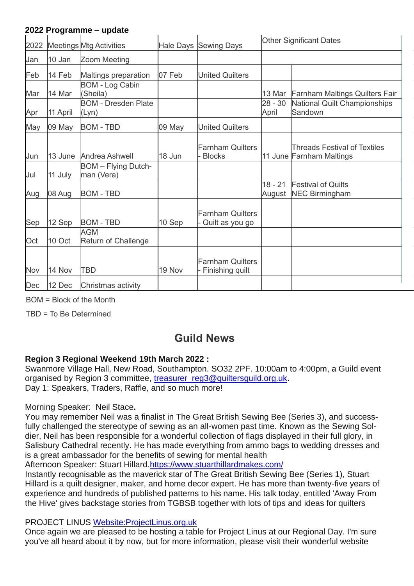#### **2022 Programme – update**

| 2022 |          | <b>Meetings Mtg Activities</b>           |        | Hale Days Sewing Days                      | <b>Other Significant Dates</b> |                                                                 |
|------|----------|------------------------------------------|--------|--------------------------------------------|--------------------------------|-----------------------------------------------------------------|
| Jan  | 10 Jan   | Zoom Meeting                             |        |                                            |                                |                                                                 |
| Feb  | 14 Feb   | Maltings preparation                     | 07 Feb | <b>United Quilters</b>                     |                                |                                                                 |
| Mar  | 14 Mar   | <b>BOM - Log Cabin</b><br>(Sheila)       |        |                                            | 13 Mar                         | <b>Farnham Maltings Quilters Fair</b>                           |
| Apr  | 11 April | <b>BOM - Dresden Plate</b><br>(Lyn)      |        |                                            | $28 - 30$<br>April             | National Quilt Championships<br>Sandown                         |
| May  | 09 May   | <b>BOM - TBD</b>                         | 09 May | <b>United Quilters</b>                     |                                |                                                                 |
| Jun  | 13 June  | Andrea Ashwell                           | 18 Jun | <b>Farnham Quilters</b><br><b>Blocks</b>   |                                | <b>Threads Festival of Textiles</b><br>11 June Farnham Maltings |
| Jul  | 11 July  | <b>BOM</b> - Flying Dutch-<br>man (Vera) |        |                                            |                                |                                                                 |
| Aug  | 08 Aug   | <b>BOM - TBD</b>                         |        |                                            | $18 - 21$<br>August            | <b>Festival of Quilts</b><br><b>NEC Birmingham</b>              |
| Sep  | 12 Sep   | <b>BOM - TBD</b>                         | 10 Sep | <b>Farnham Quilters</b><br>Quilt as you go |                                |                                                                 |
| Oct  | 10 Oct   | <b>AGM</b><br><b>Return of Challenge</b> |        |                                            |                                |                                                                 |
| Nov  | 14 Nov   | <b>TBD</b>                               | 19 Nov | <b>Farnham Quilters</b><br>Finishing quilt |                                |                                                                 |
| Dec  | 12 Dec   | Christmas activity                       |        |                                            |                                |                                                                 |

BOM = Block of the Month

TBD = To Be Determined

# **Guild News**

# **Region 3 Regional Weekend 19th March 2022 :**

Swanmore Village Hall, New Road, Southampton. SO32 2PF. 10:00am to 4:00pm, a Guild event organised by Region 3 committee, treasurer\_reg3@quiltersquild.org.uk. Day 1: Speakers, Traders, Raffle, and so much more!

Morning Speaker: Neil Stace**.**

You may remember Neil was a finalist in The Great British Sewing Bee (Series 3), and successfully challenged the stereotype of sewing as an all-women past time. Known as the Sewing Soldier, Neil has been responsible for a wonderful collection of flags displayed in their full glory, in Salisbury Cathedral recently. He has made everything from ammo bags to wedding dresses and is a great ambassador for the benefits of sewing for mental health

Afternoon Speaker: Stuart Hillard[.https://www.stuarthillardmakes.com/](https://www.stuarthillardmakes.com/)

Instantly recognisable as the maverick star of The Great British Sewing Bee (Series 1), Stuart Hillard is a quilt designer, maker, and home decor expert. He has more than twenty-five years of experience and hundreds of published patterns to his name. His talk today, entitled 'Away From the Hive' gives backstage stories from TGBSB together with lots of tips and ideas for quilters

PROJECT LINUS [Website:ProjectLinus.org.uk](https://projectlinusuk.org.uk/)

Once again we are pleased to be hosting a table for Project Linus at our Regional Day. I'm sure you've all heard about it by now, but for more information, please visit their wonderful website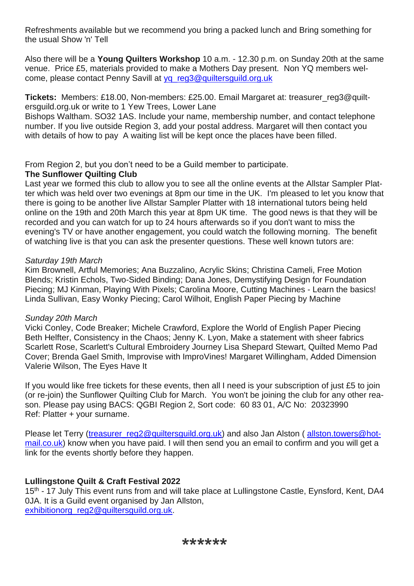Refreshments available but we recommend you bring a packed lunch and Bring something for the usual Show 'n' Tell

Also there will be a **Young Quilters Workshop** 10 a.m. - 12.30 p.m. on Sunday 20th at the same venue. Price £5, materials provided to make a Mothers Day present. Non YQ members welcome, please contact Penny Savill at [yq\\_reg3@quiltersguild.org.uk](mailto:yq_reg3@quiltersguild.org.uk)

**Tickets:** Members: £18.00, Non-members: £25.00. Email Margaret at: treasurer\_reg3@quiltersguild.org.uk or write to 1 Yew Trees, Lower Lane

Bishops Waltham. SO32 1AS. Include your name, membership number, and contact telephone number. If you live outside Region 3, add your postal address. Margaret will then contact you with details of how to pay A waiting list will be kept once the places have been filled.

From Region 2, but you don't need to be a Guild member to participate.

# **The Sunflower Quilting Club**

Last year we formed this club to allow you to see all the online events at the Allstar Sampler Platter which was held over two evenings at 8pm our time in the UK. I'm pleased to let you know that there is going to be another live Allstar Sampler Platter with 18 international tutors being held online on the 19th and 20th March this year at 8pm UK time. The good news is that they will be recorded and you can watch for up to 24 hours afterwards so if you don't want to miss the evening's TV or have another engagement, you could watch the following morning. The benefit of watching live is that you can ask the presenter questions. These well known tutors are:

# *Saturday 19th March*

Kim Brownell, Artful Memories; Ana Buzzalino, Acrylic Skins; Christina Cameli, Free Motion Blends; Kristin Echols, Two-Sided Binding; Dana Jones, Demystifying Design for Foundation Piecing; MJ Kinman, Playing With Pixels; Carolina Moore, Cutting Machines - Learn the basics! Linda Sullivan, Easy Wonky Piecing; Carol Wilhoit, English Paper Piecing by Machine

# *Sunday 20th March*

Vicki Conley, Code Breaker; Michele Crawford, Explore the World of English Paper Piecing Beth Helfter, Consistency in the Chaos; Jenny K. Lyon, Make a statement with sheer fabrics Scarlett Rose, Scarlett's Cultural Embroidery Journey Lisa Shepard Stewart, Quilted Memo Pad Cover; Brenda Gael Smith, Improvise with ImproVines! Margaret Willingham, Added Dimension Valerie Wilson, The Eyes Have It

If you would like free tickets for these events, then all I need is your subscription of just £5 to join (or re-join) the Sunflower Quilting Club for March. You won't be joining the club for any other reason. Please pay using BACS: QGBI Region 2, Sort code: 60 83 01, A/C No: 20323990 Ref: Platter + your surname.

Please let Terry [\(treasurer\\_reg2@quiltersguild.org.uk\)](mailto:treasurer_reg2@quiltersguild.org.uk) and also Jan Alston ( [allston.towers@hot](mailto:allston.towers@hotmail.co.uk)[mail.co.uk\)](mailto:allston.towers@hotmail.co.uk) know when you have paid. I will then send you an email to confirm and you will get a link for the events shortly before they happen.

# **Lullingstone Quilt & Craft Festival 2022**

15<sup>th</sup> - 17 July This event runs from and will take place at Lullingstone Castle, Eynsford, Kent, DA4 0JA. It is a Guild event organised by Jan Allston, [exhibitionorg\\_reg2@quiltersguild.org.uk.](mailto:exhibitionorg_reg2@quiltersguild.org.uk)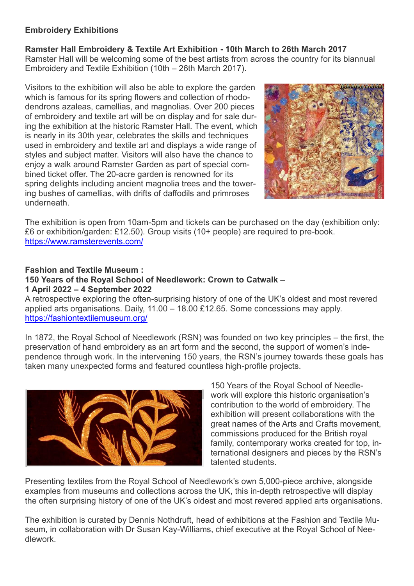### **Embroidery Exhibitions**

**Ramster Hall Embroidery & Textile Art Exhibition - 10th March to 26th March 2017** Ramster Hall will be welcoming some of the best artists from across the country for its biannual Embroidery and Textile Exhibition (10th – 26th March 2017).

Visitors to the exhibition will also be able to explore the garden which is famous for its spring flowers and collection of rhododendrons azaleas, camellias, and magnolias. Over 200 pieces of embroidery and textile art will be on display and for sale during the exhibition at the historic Ramster Hall. The event, which is nearly in its 30th year, celebrates the skills and techniques used in embroidery and textile art and displays a wide range of styles and subject matter. Visitors will also have the chance to enjoy a walk around Ramster Garden as part of special combined ticket offer. The 20-acre garden is renowned for its spring delights including ancient magnolia trees and the towering bushes of camellias, with drifts of daffodils and primroses underneath.



The exhibition is open from 10am-5pm and tickets can be purchased on the day (exhibition only: £6 or exhibition/garden: £12.50). Group visits (10+ people) are required to pre-book. <https://www.ramsterevents.com/>

# **Fashion and Textile Museum : 150 Years of the Royal School of Needlework: Crown to Catwalk – 1 April 2022 – 4 September 2022**

A retrospective exploring the often-surprising history of one of the UK's oldest and most revered applied arts organisations. Daily, 11.00 – 18.00 £12.65. [Some concessions may apply.](https://fashiontextilemuseum.org/visit/ticket-information) <https://fashiontextilemuseum.org/>

In 1872, the Royal School of Needlework (RSN) was founded on two key principles – the first, the preservation of hand embroidery as an art form and the second, the support of women's independence through work. In the intervening 150 years, the RSN's journey towards these goals has taken many unexpected forms and featured countless high-profile projects.



150 Years of the Royal School of Needlework will explore this historic organisation's contribution to the world of embroidery. The exhibition will present collaborations with the great names of the Arts and Crafts movement commissions produced for the British royal family, contemporary works created for top, international designers and pieces by the RSN's talented students.

Presenting textiles from the Royal School of Needlework's own 5,000-piece archive, alongside examples from museums and collections across the UK, this in-depth retrospective will display the often surprising history of one of the UK's oldest and most revered applied arts organisations.

The exhibition is curated by Dennis Nothdruft, head of exhibitions at the Fashion and Textile Museum, in collaboration with Dr Susan Kay-Williams, chief executive at the Royal School of Needlework.